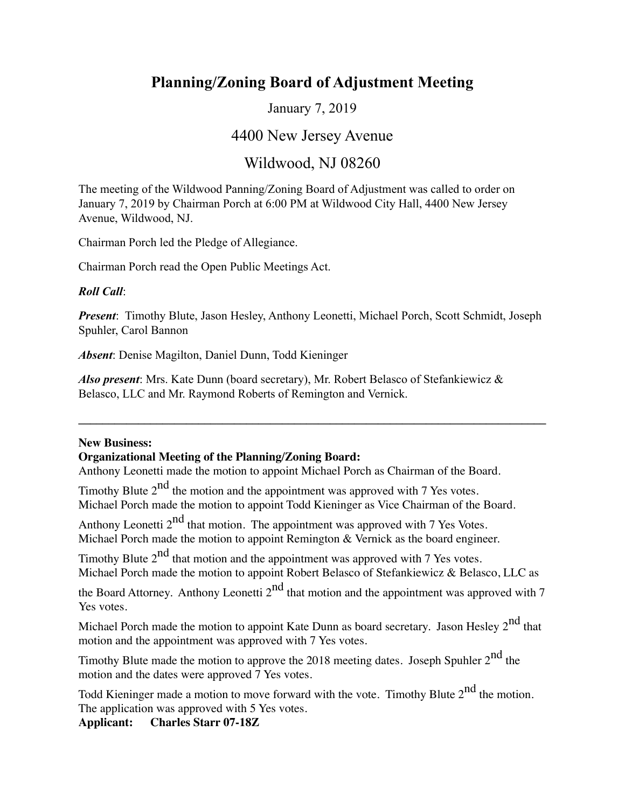# **Planning/Zoning Board of Adjustment Meeting**

January 7, 2019

## 4400 New Jersey Avenue

## Wildwood, NJ 08260

The meeting of the Wildwood Panning/Zoning Board of Adjustment was called to order on January 7, 2019 by Chairman Porch at 6:00 PM at Wildwood City Hall, 4400 New Jersey Avenue, Wildwood, NJ.

Chairman Porch led the Pledge of Allegiance.

Chairman Porch read the Open Public Meetings Act.

#### *Roll Call*:

*Present*: Timothy Blute, Jason Hesley, Anthony Leonetti, Michael Porch, Scott Schmidt, Joseph Spuhler, Carol Bannon

**\_\_\_\_\_\_\_\_\_\_\_\_\_\_\_\_\_\_\_\_\_\_\_\_\_\_\_\_\_\_\_\_\_\_\_\_\_\_\_\_\_\_\_\_\_\_\_\_\_\_\_\_\_\_\_\_\_\_\_\_\_\_\_\_\_\_\_\_\_\_\_\_\_\_\_\_\_\_**

*Absent*: Denise Magilton, Daniel Dunn, Todd Kieninger

*Also present*: Mrs. Kate Dunn (board secretary), Mr. Robert Belasco of Stefankiewicz & Belasco, LLC and Mr. Raymond Roberts of Remington and Vernick.

#### **New Business:**

#### **Organizational Meeting of the Planning/Zoning Board:**

Anthony Leonetti made the motion to appoint Michael Porch as Chairman of the Board.

Timothy Blute  $2^{nd}$  the motion and the appointment was approved with 7 Yes votes. Michael Porch made the motion to appoint Todd Kieninger as Vice Chairman of the Board.

Anthony Leonetti  $2<sup>nd</sup>$  that motion. The appointment was approved with 7 Yes Votes. Michael Porch made the motion to appoint Remington & Vernick as the board engineer.

Timothy Blute  $2^{nd}$  that motion and the appointment was approved with 7 Yes votes. Michael Porch made the motion to appoint Robert Belasco of Stefankiewicz & Belasco, LLC as

the Board Attorney. Anthony Leonetti  $2^{nd}$  that motion and the appointment was approved with 7 Yes votes.

Michael Porch made the motion to appoint Kate Dunn as board secretary. Jason Hesley  $2<sup>nd</sup>$  that motion and the appointment was approved with 7 Yes votes.

Timothy Blute made the motion to approve the 2018 meeting dates. Joseph Spuhler 2<sup>nd</sup> the motion and the dates were approved 7 Yes votes.

Todd Kieninger made a motion to move forward with the vote. Timothy Blute  $2<sup>nd</sup>$  the motion. The application was approved with 5 Yes votes.

**Applicant: Charles Starr 07-18Z**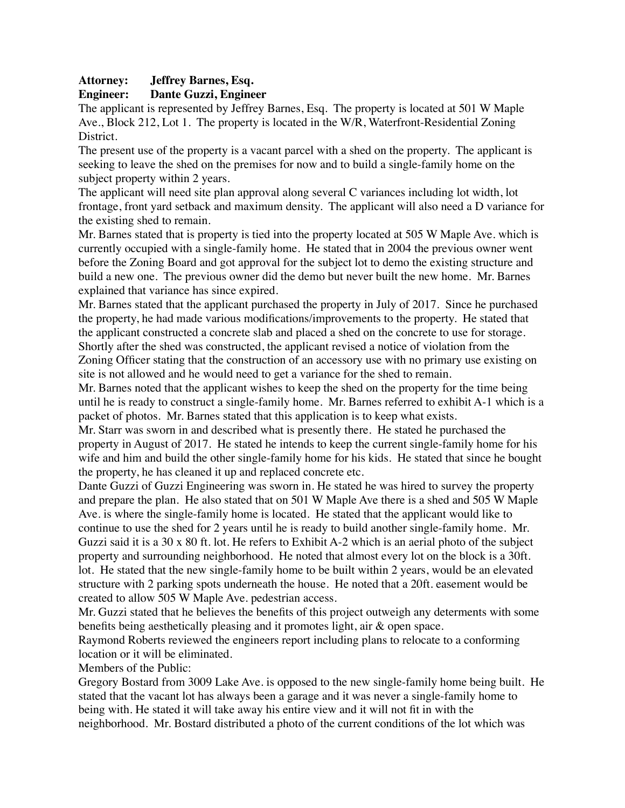#### **Attorney: Jeffrey Barnes, Esq.**

#### **Engineer: Dante Guzzi, Engineer**

The applicant is represented by Jeffrey Barnes, Esq. The property is located at 501 W Maple Ave., Block 212, Lot 1. The property is located in the W/R, Waterfront-Residential Zoning District.

The present use of the property is a vacant parcel with a shed on the property. The applicant is seeking to leave the shed on the premises for now and to build a single-family home on the subject property within 2 years.

The applicant will need site plan approval along several C variances including lot width, lot frontage, front yard setback and maximum density. The applicant will also need a D variance for the existing shed to remain.

Mr. Barnes stated that is property is tied into the property located at 505 W Maple Ave. which is currently occupied with a single-family home. He stated that in 2004 the previous owner went before the Zoning Board and got approval for the subject lot to demo the existing structure and build a new one. The previous owner did the demo but never built the new home. Mr. Barnes explained that variance has since expired.

Mr. Barnes stated that the applicant purchased the property in July of 2017. Since he purchased the property, he had made various modifications/improvements to the property. He stated that the applicant constructed a concrete slab and placed a shed on the concrete to use for storage. Shortly after the shed was constructed, the applicant revised a notice of violation from the Zoning Officer stating that the construction of an accessory use with no primary use existing on site is not allowed and he would need to get a variance for the shed to remain.

Mr. Barnes noted that the applicant wishes to keep the shed on the property for the time being until he is ready to construct a single-family home. Mr. Barnes referred to exhibit A-1 which is a packet of photos. Mr. Barnes stated that this application is to keep what exists.

Mr. Starr was sworn in and described what is presently there. He stated he purchased the property in August of 2017. He stated he intends to keep the current single-family home for his wife and him and build the other single-family home for his kids. He stated that since he bought the property, he has cleaned it up and replaced concrete etc.

Dante Guzzi of Guzzi Engineering was sworn in. He stated he was hired to survey the property and prepare the plan. He also stated that on 501 W Maple Ave there is a shed and 505 W Maple Ave. is where the single-family home is located. He stated that the applicant would like to continue to use the shed for 2 years until he is ready to build another single-family home. Mr. Guzzi said it is a 30 x 80 ft. lot. He refers to Exhibit A-2 which is an aerial photo of the subject property and surrounding neighborhood. He noted that almost every lot on the block is a 30ft. lot. He stated that the new single-family home to be built within 2 years, would be an elevated structure with 2 parking spots underneath the house. He noted that a 20ft. easement would be created to allow 505 W Maple Ave. pedestrian access.

Mr. Guzzi stated that he believes the benefits of this project outweigh any determents with some benefits being aesthetically pleasing and it promotes light, air & open space.

Raymond Roberts reviewed the engineers report including plans to relocate to a conforming location or it will be eliminated.

Members of the Public:

Gregory Bostard from 3009 Lake Ave. is opposed to the new single-family home being built. He stated that the vacant lot has always been a garage and it was never a single-family home to being with. He stated it will take away his entire view and it will not fit in with the neighborhood. Mr. Bostard distributed a photo of the current conditions of the lot which was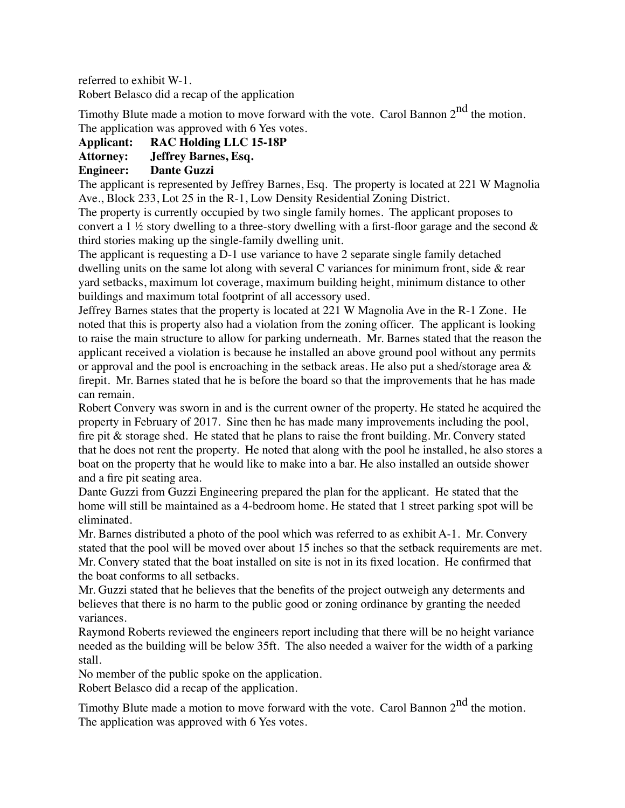referred to exhibit W-1.

Robert Belasco did a recap of the application

Timothy Blute made a motion to move forward with the vote. Carol Bannon  $2<sup>nd</sup>$  the motion. The application was approved with 6 Yes votes.

#### **Applicant: RAC Holding LLC 15-18P**

#### **Attorney: Jeffrey Barnes, Esq.**

#### **Engineer: Dante Guzzi**

The applicant is represented by Jeffrey Barnes, Esq. The property is located at 221 W Magnolia Ave., Block 233, Lot 25 in the R-1, Low Density Residential Zoning District.

The property is currently occupied by two single family homes. The applicant proposes to convert a 1  $\frac{1}{2}$  story dwelling to a three-story dwelling with a first-floor garage and the second  $\&$ third stories making up the single-family dwelling unit.

The applicant is requesting a D-1 use variance to have 2 separate single family detached dwelling units on the same lot along with several C variances for minimum front, side  $\&$  rear yard setbacks, maximum lot coverage, maximum building height, minimum distance to other buildings and maximum total footprint of all accessory used.

Jeffrey Barnes states that the property is located at 221 W Magnolia Ave in the R-1 Zone. He noted that this is property also had a violation from the zoning officer. The applicant is looking to raise the main structure to allow for parking underneath. Mr. Barnes stated that the reason the applicant received a violation is because he installed an above ground pool without any permits or approval and the pool is encroaching in the setback areas. He also put a shed/storage area  $\&$ firepit. Mr. Barnes stated that he is before the board so that the improvements that he has made can remain.

Robert Convery was sworn in and is the current owner of the property. He stated he acquired the property in February of 2017. Sine then he has made many improvements including the pool, fire pit & storage shed. He stated that he plans to raise the front building. Mr. Convery stated that he does not rent the property. He noted that along with the pool he installed, he also stores a boat on the property that he would like to make into a bar. He also installed an outside shower and a fire pit seating area.

Dante Guzzi from Guzzi Engineering prepared the plan for the applicant. He stated that the home will still be maintained as a 4-bedroom home. He stated that 1 street parking spot will be eliminated.

Mr. Barnes distributed a photo of the pool which was referred to as exhibit A-1. Mr. Convery stated that the pool will be moved over about 15 inches so that the setback requirements are met. Mr. Convery stated that the boat installed on site is not in its fixed location. He confirmed that the boat conforms to all setbacks.

Mr. Guzzi stated that he believes that the benefits of the project outweigh any determents and believes that there is no harm to the public good or zoning ordinance by granting the needed variances.

Raymond Roberts reviewed the engineers report including that there will be no height variance needed as the building will be below 35ft. The also needed a waiver for the width of a parking stall.

No member of the public spoke on the application.

Robert Belasco did a recap of the application.

Timothy Blute made a motion to move forward with the vote. Carol Bannon  $2<sup>nd</sup>$  the motion. The application was approved with 6 Yes votes.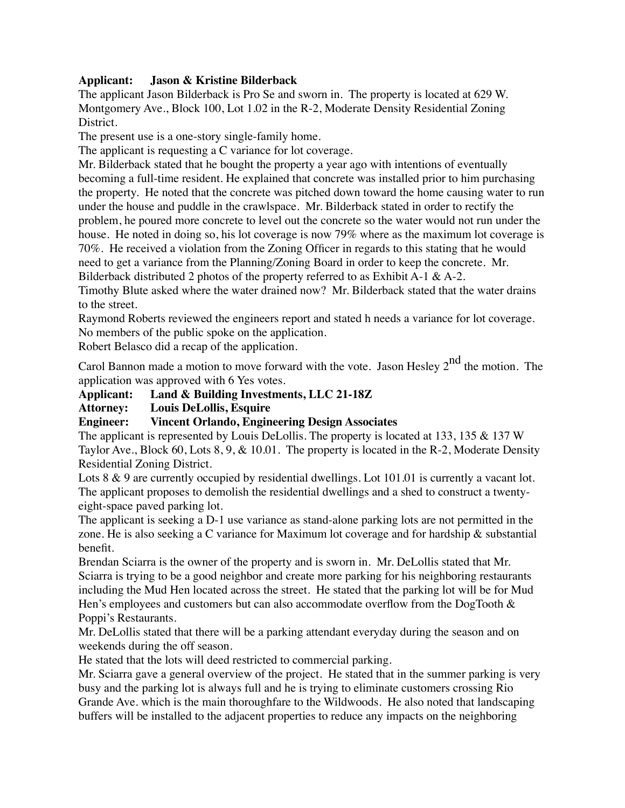#### **Applicant: Jason & Kristine Bilderback**

The applicant Jason Bilderback is Pro Se and sworn in. The property is located at 629 W. Montgomery Ave., Block 100, Lot 1.02 in the R-2, Moderate Density Residential Zoning District.

The present use is a one-story single-family home.

The applicant is requesting a C variance for lot coverage.

Mr. Bilderback stated that he bought the property a year ago with intentions of eventually becoming a full-time resident. He explained that concrete was installed prior to him purchasing the property. He noted that the concrete was pitched down toward the home causing water to run under the house and puddle in the crawlspace. Mr. Bilderback stated in order to rectify the problem, he poured more concrete to level out the concrete so the water would not run under the house. He noted in doing so, his lot coverage is now 79% where as the maximum lot coverage is 70%. He received a violation from the Zoning Officer in regards to this stating that he would need to get a variance from the Planning/Zoning Board in order to keep the concrete. Mr. Bilderback distributed 2 photos of the property referred to as Exhibit A-1 & A-2.

Timothy Blute asked where the water drained now? Mr. Bilderback stated that the water drains to the street.

Raymond Roberts reviewed the engineers report and stated h needs a variance for lot coverage. No members of the public spoke on the application.

Robert Belasco did a recap of the application.

Carol Bannon made a motion to move forward with the vote. Jason Hesley  $2^{nd}$  the motion. The application was approved with 6 Yes votes.

**Applicant: Land & Building Investments, LLC 21-18Z**

**Attorney: Louis DeLollis, Esquire**

#### **Engineer: Vincent Orlando, Engineering Design Associates**

The applicant is represented by Louis DeLollis. The property is located at 133, 135 & 137 W Taylor Ave., Block 60, Lots 8, 9, & 10.01. The property is located in the R-2, Moderate Density Residential Zoning District.

Lots 8 & 9 are currently occupied by residential dwellings. Lot 101.01 is currently a vacant lot. The applicant proposes to demolish the residential dwellings and a shed to construct a twentyeight-space paved parking lot.

The applicant is seeking a D-1 use variance as stand-alone parking lots are not permitted in the zone. He is also seeking a C variance for Maximum lot coverage and for hardship & substantial benefit.

Brendan Sciarra is the owner of the property and is sworn in. Mr. DeLollis stated that Mr. Sciarra is trying to be a good neighbor and create more parking for his neighboring restaurants including the Mud Hen located across the street. He stated that the parking lot will be for Mud Hen's employees and customers but can also accommodate overflow from the DogTooth  $\&$ Poppi's Restaurants.

Mr. DeLollis stated that there will be a parking attendant everyday during the season and on weekends during the off season.

He stated that the lots will deed restricted to commercial parking.

Mr. Sciarra gave a general overview of the project. He stated that in the summer parking is very busy and the parking lot is always full and he is trying to eliminate customers crossing Rio Grande Ave. which is the main thoroughfare to the Wildwoods. He also noted that landscaping buffers will be installed to the adjacent properties to reduce any impacts on the neighboring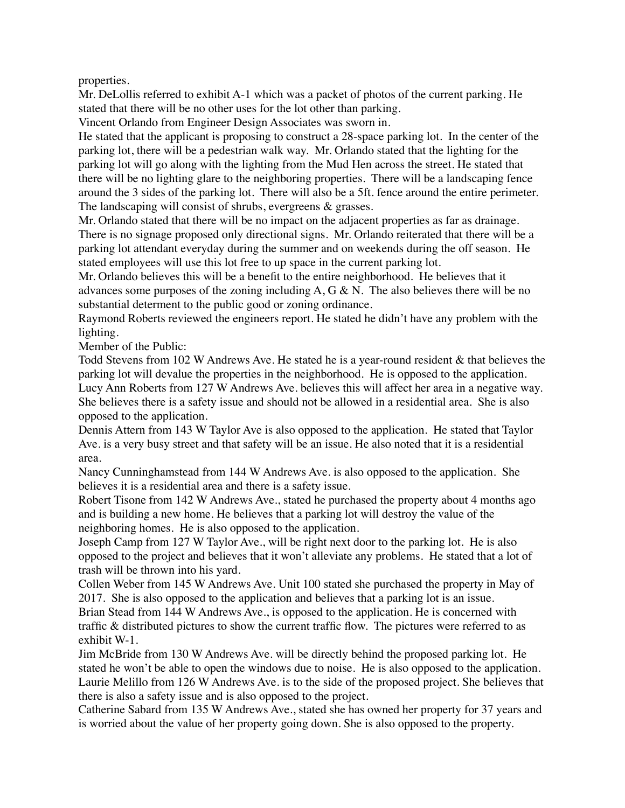properties.

Mr. DeLollis referred to exhibit A-1 which was a packet of photos of the current parking. He stated that there will be no other uses for the lot other than parking.

Vincent Orlando from Engineer Design Associates was sworn in.

He stated that the applicant is proposing to construct a 28-space parking lot. In the center of the parking lot, there will be a pedestrian walk way. Mr. Orlando stated that the lighting for the parking lot will go along with the lighting from the Mud Hen across the street. He stated that there will be no lighting glare to the neighboring properties. There will be a landscaping fence around the 3 sides of the parking lot. There will also be a 5ft. fence around the entire perimeter. The landscaping will consist of shrubs, evergreens & grasses.

Mr. Orlando stated that there will be no impact on the adjacent properties as far as drainage. There is no signage proposed only directional signs. Mr. Orlando reiterated that there will be a parking lot attendant everyday during the summer and on weekends during the off season. He stated employees will use this lot free to up space in the current parking lot.

Mr. Orlando believes this will be a benefit to the entire neighborhood. He believes that it advances some purposes of the zoning including  $A, G \& N$ . The also believes there will be no substantial determent to the public good or zoning ordinance.

Raymond Roberts reviewed the engineers report. He stated he didn't have any problem with the lighting.

Member of the Public:

Todd Stevens from 102 W Andrews Ave. He stated he is a year-round resident & that believes the parking lot will devalue the properties in the neighborhood. He is opposed to the application. Lucy Ann Roberts from 127 W Andrews Ave. believes this will affect her area in a negative way. She believes there is a safety issue and should not be allowed in a residential area. She is also opposed to the application.

Dennis Attern from 143 W Taylor Ave is also opposed to the application. He stated that Taylor Ave. is a very busy street and that safety will be an issue. He also noted that it is a residential area.

Nancy Cunninghamstead from 144 W Andrews Ave. is also opposed to the application. She believes it is a residential area and there is a safety issue.

Robert Tisone from 142 W Andrews Ave., stated he purchased the property about 4 months ago and is building a new home. He believes that a parking lot will destroy the value of the neighboring homes. He is also opposed to the application.

Joseph Camp from 127 W Taylor Ave., will be right next door to the parking lot. He is also opposed to the project and believes that it won't alleviate any problems. He stated that a lot of trash will be thrown into his yard.

Collen Weber from 145 W Andrews Ave. Unit 100 stated she purchased the property in May of 2017. She is also opposed to the application and believes that a parking lot is an issue.

Brian Stead from 144 W Andrews Ave., is opposed to the application. He is concerned with traffic & distributed pictures to show the current traffic flow. The pictures were referred to as exhibit W-1.

Jim McBride from 130 W Andrews Ave. will be directly behind the proposed parking lot. He stated he won't be able to open the windows due to noise. He is also opposed to the application. Laurie Melillo from 126 W Andrews Ave. is to the side of the proposed project. She believes that there is also a safety issue and is also opposed to the project.

Catherine Sabard from 135 W Andrews Ave., stated she has owned her property for 37 years and is worried about the value of her property going down. She is also opposed to the property.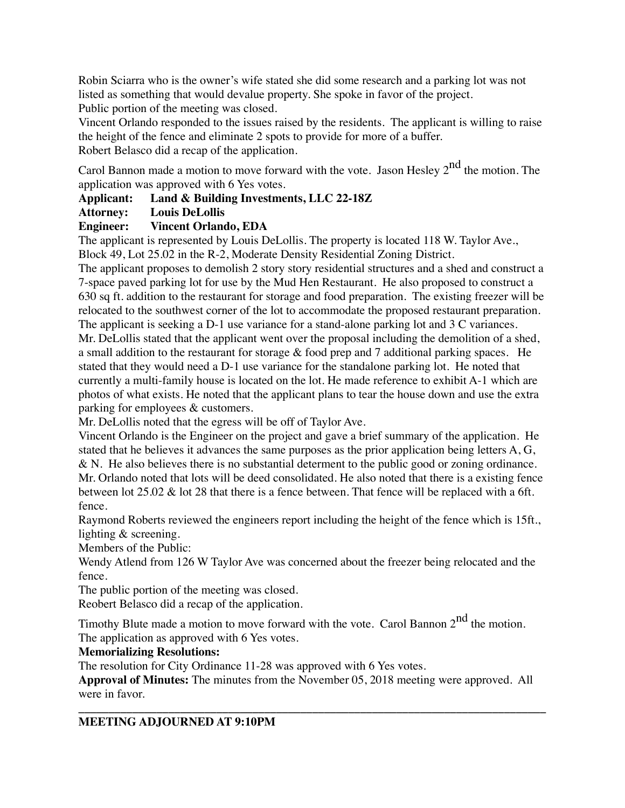Robin Sciarra who is the owner's wife stated she did some research and a parking lot was not listed as something that would devalue property. She spoke in favor of the project.

Public portion of the meeting was closed.

Vincent Orlando responded to the issues raised by the residents. The applicant is willing to raise the height of the fence and eliminate 2 spots to provide for more of a buffer.

Robert Belasco did a recap of the application.

Carol Bannon made a motion to move forward with the vote. Jason Hesley  $2^{nd}$  the motion. The application was approved with 6 Yes votes.

**Applicant: Land & Building Investments, LLC 22-18Z**

### **Attorney: Louis DeLollis**

## **Engineer: Vincent Orlando, EDA**

The applicant is represented by Louis DeLollis. The property is located 118 W. Taylor Ave., Block 49, Lot 25.02 in the R-2, Moderate Density Residential Zoning District.

The applicant proposes to demolish 2 story story residential structures and a shed and construct a 7-space paved parking lot for use by the Mud Hen Restaurant. He also proposed to construct a 630 sq ft. addition to the restaurant for storage and food preparation. The existing freezer will be relocated to the southwest corner of the lot to accommodate the proposed restaurant preparation.

The applicant is seeking a D-1 use variance for a stand-alone parking lot and 3 C variances. Mr. DeLollis stated that the applicant went over the proposal including the demolition of a shed, a small addition to the restaurant for storage  $&$  food prep and 7 additional parking spaces. He stated that they would need a D-1 use variance for the standalone parking lot. He noted that currently a multi-family house is located on the lot. He made reference to exhibit A-1 which are photos of what exists. He noted that the applicant plans to tear the house down and use the extra parking for employees & customers.

Mr. DeLollis noted that the egress will be off of Taylor Ave.

Vincent Orlando is the Engineer on the project and gave a brief summary of the application. He stated that he believes it advances the same purposes as the prior application being letters A, G, & N. He also believes there is no substantial determent to the public good or zoning ordinance. Mr. Orlando noted that lots will be deed consolidated. He also noted that there is a existing fence between lot 25.02 & lot 28 that there is a fence between. That fence will be replaced with a 6ft. fence.

Raymond Roberts reviewed the engineers report including the height of the fence which is 15ft., lighting & screening.

Members of the Public:

Wendy Atlend from 126 W Taylor Ave was concerned about the freezer being relocated and the fence.

The public portion of the meeting was closed.

Reobert Belasco did a recap of the application.

Timothy Blute made a motion to move forward with the vote. Carol Bannon  $2<sup>nd</sup>$  the motion. The application as approved with 6 Yes votes.

### **Memorializing Resolutions:**

The resolution for City Ordinance 11-28 was approved with 6 Yes votes.

**Approval of Minutes:** The minutes from the November 05, 2018 meeting were approved. All were in favor.